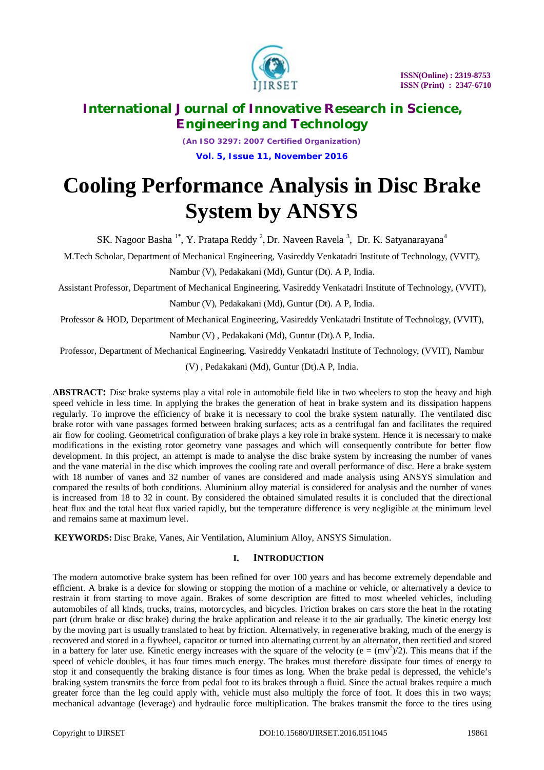

*(An ISO 3297: 2007 Certified Organization)* **Vol. 5, Issue 11, November 2016**

# **Cooling Performance Analysis in Disc Brake System by ANSYS**

SK. Nagoor Basha<sup>1\*</sup>, Y. Pratapa Reddy<sup>2</sup>, Dr. Naveen Ravela<sup>3</sup>, Dr. K. Satyanarayana<sup>4</sup>

M.Tech Scholar, Department of Mechanical Engineering, Vasireddy Venkatadri Institute of Technology, (VVIT),

Nambur (V), Pedakakani (Md), Guntur (Dt). A P, India.

Assistant Professor, Department of Mechanical Engineering, Vasireddy Venkatadri Institute of Technology, (VVIT),

Nambur (V), Pedakakani (Md), Guntur (Dt). A P, India.

Professor & HOD, Department of Mechanical Engineering, Vasireddy Venkatadri Institute of Technology, (VVIT),

Nambur (V) , Pedakakani (Md), Guntur (Dt).A P, India.

Professor, Department of Mechanical Engineering, Vasireddy Venkatadri Institute of Technology, (VVIT), Nambur

(V) , Pedakakani (Md), Guntur (Dt).A P, India.

**ABSTRACT:** Disc brake systems play a vital role in automobile field like in two wheelers to stop the heavy and high speed vehicle in less time. In applying the brakes the generation of heat in brake system and its dissipation happens regularly. To improve the efficiency of brake it is necessary to cool the brake system naturally. The ventilated disc brake rotor with vane passages formed between braking surfaces; acts as a centrifugal fan and facilitates the required air flow for cooling. Geometrical configuration of brake plays a key role in brake system. Hence it is necessary to make modifications in the existing rotor geometry vane passages and which will consequently contribute for better flow development. In this project, an attempt is made to analyse the disc brake system by increasing the number of vanes and the vane material in the disc which improves the cooling rate and overall performance of disc. Here a brake system with 18 number of vanes and 32 number of vanes are considered and made analysis using ANSYS simulation and compared the results of both conditions. Aluminium alloy material is considered for analysis and the number of vanes is increased from 18 to 32 in count. By considered the obtained simulated results it is concluded that the directional heat flux and the total heat flux varied rapidly, but the temperature difference is very negligible at the minimum level and remains same at maximum level.

**KEYWORDS:** Disc Brake, Vanes, Air Ventilation, Aluminium Alloy, ANSYS Simulation.

### **I. INTRODUCTION**

The modern automotive brake system has been refined for over 100 years and has become extremely dependable and efficient. A brake is a device for slowing or stopping the motion of a machine or vehicle, or alternatively a device to restrain it from starting to move again. Brakes of some description are fitted to most wheeled vehicles, including automobiles of all kinds, trucks, trains, motorcycles, and bicycles. Friction brakes on cars store the heat in the rotating part (drum brake or disc brake) during the brake application and release it to the air gradually. The kinetic energy lost by the moving part is usually translated to heat by friction. Alternatively, in regenerative braking, much of the energy is recovered and stored in a flywheel, capacitor or turned into alternating current by an alternator, then rectified and stored in a battery for later use. Kinetic energy increases with the square of the velocity ( $e = (mv^2)/2$ ). This means that if the speed of vehicle doubles, it has four times much energy. The brakes must therefore dissipate four times of energy to stop it and consequently the braking distance is four times as long. When the brake pedal is depressed, the vehicle's braking system transmits the force from pedal foot to its brakes through a fluid. Since the actual brakes require a much greater force than the leg could apply with, vehicle must also multiply the force of foot. It does this in two ways; mechanical advantage (leverage) and hydraulic force multiplication. The brakes transmit the force to the tires using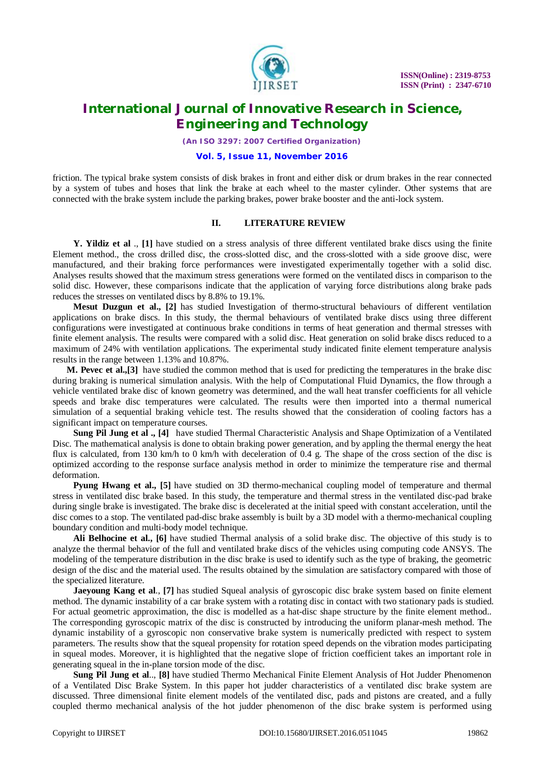

*(An ISO 3297: 2007 Certified Organization)*

#### **Vol. 5, Issue 11, November 2016**

friction. The typical brake system consists of disk brakes in front and either disk or drum brakes in the rear connected by a system of tubes and hoses that link the brake at each wheel to the master cylinder. Other systems that are connected with the brake system include the parking brakes, power brake booster and the anti-lock system.

#### **II. LITERATURE REVIEW**

**Y. Yildiz et al** ., **[1]** have studied on a stress analysis of three different ventilated brake discs using the finite Element method., the cross drilled disc, the cross-slotted disc, and the cross-slotted with a side groove disc, were manufactured, and their braking force performances were investigated experimentally together with a solid disc. Analyses results showed that the maximum stress generations were formed on the ventilated discs in comparison to the solid disc. However, these comparisons indicate that the application of varying force distributions along brake pads reduces the stresses on ventilated discs by 8.8% to 19.1%.

**Mesut Duzgun et al., [2]** has studied Investigation of thermo-structural behaviours of different ventilation applications on brake discs. In this study, the thermal behaviours of ventilated brake discs using three different configurations were investigated at continuous brake conditions in terms of heat generation and thermal stresses with finite element analysis. The results were compared with a solid disc. Heat generation on solid brake discs reduced to a maximum of 24% with ventilation applications. The experimental study indicated finite element temperature analysis results in the range between 1.13% and 10.87%.

**M. Pevec et al.,[3]** have studied the common method that is used for predicting the temperatures in the brake disc during braking is numerical simulation analysis. With the help of Computational Fluid Dynamics, the flow through a vehicle ventilated brake disc of known geometry was determined, and the wall heat transfer coefficients for all vehicle speeds and brake disc temperatures were calculated. The results were then imported into a thermal numerical simulation of a sequential braking vehicle test. The results showed that the consideration of cooling factors has a significant impact on temperature courses.

**Sung Pil Jung et al ., [4]** have studied Thermal Characteristic Analysis and Shape Optimization of a Ventilated Disc. The mathematical analysis is done to obtain braking power generation, and by appling the thermal energy the heat flux is calculated, from 130 km/h to 0 km/h with deceleration of 0.4 g. The shape of the cross section of the disc is optimized according to the response surface analysis method in order to minimize the temperature rise and thermal deformation.

**Pyung Hwang et al., [5]** have studied on 3D thermo-mechanical coupling model of temperature and thermal stress in ventilated disc brake based. In this study, the temperature and thermal stress in the ventilated disc-pad brake during single brake is investigated. The brake disc is decelerated at the initial speed with constant acceleration, until the disc comes to a stop. The ventilated pad-disc brake assembly is built by a 3D model with a thermo-mechanical coupling boundary condition and multi-body model technique.

**Ali Belhocine et al., [6]** have studied Thermal analysis of a solid brake disc. The objective of this study is to analyze the thermal behavior of the full and ventilated brake discs of the vehicles using computing code ANSYS. The modeling of the temperature distribution in the disc brake is used to identify such as the type of braking, the geometric design of the disc and the material used. The results obtained by the simulation are satisfactory compared with those of the specialized literature.

**Jaeyoung Kang et al**., **[7]** has studied Squeal analysis of gyroscopic disc brake system based on finite element method. The dynamic instability of a car brake system with a rotating disc in contact with two stationary pads is studied. For actual geometric approximation, the disc is modelled as a hat-disc shape structure by the finite element method.. The corresponding gyroscopic matrix of the disc is constructed by introducing the uniform planar-mesh method. The dynamic instability of a gyroscopic non conservative brake system is numerically predicted with respect to system parameters. The results show that the squeal propensity for rotation speed depends on the vibration modes participating in squeal modes. Moreover, it is highlighted that the negative slope of friction coefficient takes an important role in generating squeal in the in-plane torsion mode of the disc.

**Sung Pil Jung et al**.., **[8]** have studied Thermo Mechanical Finite Element Analysis of Hot Judder Phenomenon of a Ventilated Disc Brake System. In this paper hot judder characteristics of a ventilated disc brake system are discussed. Three dimensional finite element models of the ventilated disc, pads and pistons are created, and a fully coupled thermo mechanical analysis of the hot judder phenomenon of the disc brake system is performed using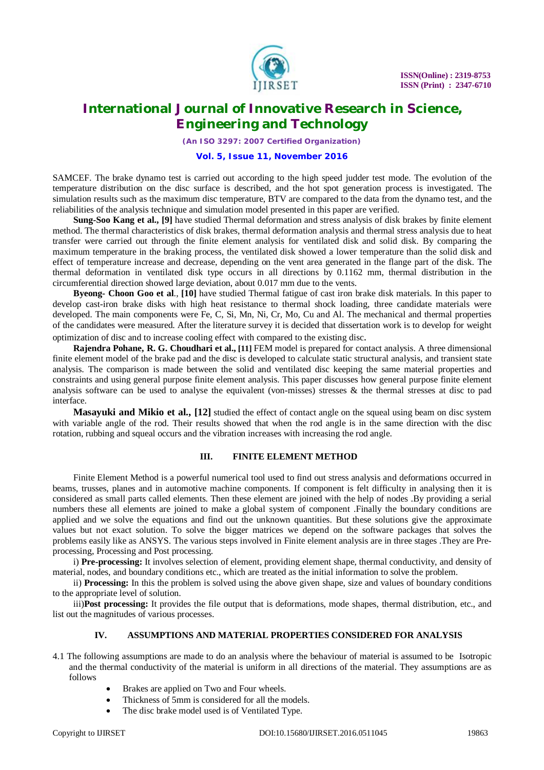

*(An ISO 3297: 2007 Certified Organization)*

#### **Vol. 5, Issue 11, November 2016**

SAMCEF. The brake dynamo test is carried out according to the high speed judder test mode. The evolution of the temperature distribution on the disc surface is described, and the hot spot generation process is investigated. The simulation results such as the maximum disc temperature, BTV are compared to the data from the dynamo test, and the reliabilities of the analysis technique and simulation model presented in this paper are verified.

**Sung-Soo Kang et al., [9]** have studied Thermal deformation and stress analysis of disk brakes by finite element method. The thermal characteristics of disk brakes, thermal deformation analysis and thermal stress analysis due to heat transfer were carried out through the finite element analysis for ventilated disk and solid disk. By comparing the maximum temperature in the braking process, the ventilated disk showed a lower temperature than the solid disk and effect of temperature increase and decrease, depending on the vent area generated in the flange part of the disk. The thermal deformation in ventilated disk type occurs in all directions by 0.1162 mm, thermal distribution in the circumferential direction showed large deviation, about 0.017 mm due to the vents.

**Byeong- Choon Goo et al**., **[10]** have studied Thermal fatigue of cast iron brake disk materials. In this paper to develop cast-iron brake disks with high heat resistance to thermal shock loading, three candidate materials were developed. The main components were Fe, C, Si, Mn, Ni, Cr, Mo, Cu and Al. The mechanical and thermal properties of the candidates were measured. After the literature survey it is decided that dissertation work is to develop for weight optimization of disc and to increase cooling effect with compared to the existing disc.

**Rajendra Pohane, R. G. Choudhari et al., [11]** FEM model is prepared for contact analysis. A three dimensional finite element model of the brake pad and the disc is developed to calculate static structural analysis, and transient state analysis. The comparison is made between the solid and ventilated disc keeping the same material properties and constraints and using general purpose finite element analysis. This paper discusses how general purpose finite element analysis software can be used to analyse the equivalent (von-misses) stresses  $\&$  the thermal stresses at disc to pad interface.

**Masayuki and Mikio et al., [12]** studied the effect of contact angle on the squeal using beam on disc system with variable angle of the rod. Their results showed that when the rod angle is in the same direction with the disc rotation, rubbing and squeal occurs and the vibration increases with increasing the rod angle.

#### **III. FINITE ELEMENT METHOD**

Finite Element Method is a powerful numerical tool used to find out stress analysis and deformations occurred in beams, trusses, planes and in automotive machine components. If component is felt difficulty in analysing then it is considered as small parts called elements. Then these element are joined with the help of nodes .By providing a serial numbers these all elements are joined to make a global system of component .Finally the boundary conditions are applied and we solve the equations and find out the unknown quantities. But these solutions give the approximate values but not exact solution. To solve the bigger matrices we depend on the software packages that solves the problems easily like as ANSYS. The various steps involved in Finite element analysis are in three stages .They are Preprocessing, Processing and Post processing.

i) **Pre-processing:** It involves selection of element, providing element shape, thermal conductivity, and density of material, nodes, and boundary conditions etc., which are treated as the initial information to solve the problem.

ii) **Processing:** In this the problem is solved using the above given shape, size and values of boundary conditions to the appropriate level of solution.

iii)**Post processing:** It provides the file output that is deformations, mode shapes, thermal distribution, etc., and list out the magnitudes of various processes.

### **IV. ASSUMPTIONS AND MATERIAL PROPERTIES CONSIDERED FOR ANALYSIS**

- 4.1 The following assumptions are made to do an analysis where the behaviour of material is assumed to be Isotropic and the thermal conductivity of the material is uniform in all directions of the material. They assumptions are as follows
	- Brakes are applied on Two and Four wheels.
	- Thickness of 5mm is considered for all the models.
	- The disc brake model used is of Ventilated Type.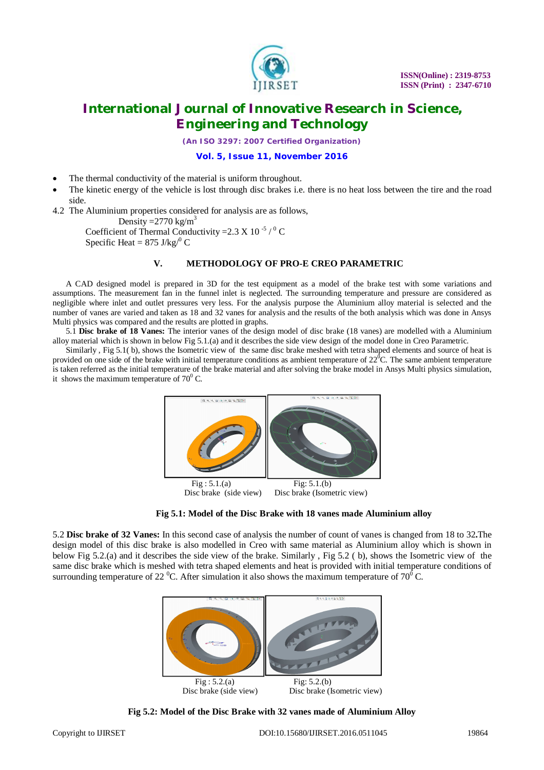

*(An ISO 3297: 2007 Certified Organization)*

### **Vol. 5, Issue 11, November 2016**

- The thermal conductivity of the material is uniform throughout.
- The kinetic energy of the vehicle is lost through disc brakes i.e. there is no heat loss between the tire and the road side.

4.2 The Aluminium properties considered for analysis are as follows, Density =  $2770 \text{ kg/m}^3$ 

Coefficient of Thermal Conductivity =  $2.3 \text{ X}$  10<sup>-5</sup> / <sup>0</sup> C Specific Heat =  $875$  J/kg $/^0$  C

#### **V. METHODOLOGY OF PRO-E CREO PARAMETRIC**

A CAD designed model is prepared in 3D for the test equipment as a model of the brake test with some variations and assumptions. The measurement fan in the funnel inlet is neglected. The surrounding temperature and pressure are considered as negligible where inlet and outlet pressures very less. For the analysis purpose the Aluminium alloy material is selected and the number of vanes are varied and taken as 18 and 32 vanes for analysis and the results of the both analysis which was done in Ansys Multi physics was compared and the results are plotted in graphs.

5.1 **Disc brake of 18 Vanes:** The interior vanes of the design model of disc brake (18 vanes) are modelled with a Aluminium alloy material which is shown in below Fig 5.1.(a) and it describes the side view design of the model done in Creo Parametric.

Similarly , Fig 5.1( b), shows the Isometric view of the same disc brake meshed with tetra shaped elements and source of heat is provided on one side of the brake with initial temperature conditions as ambient temperature of  $22^{\circ}$ C. The same ambient temperature is taken referred as the initial temperature of the brake material and after solving the brake model in Ansys Multi physics simulation, it shows the maximum temperature of  $70^0$  C.



Disc brake (side view) Disc brake (Isometric view)

**Fig 5.1: Model of the Disc Brake with 18 vanes made Aluminium alloy**

5.2 **Disc brake of 32 Vanes:** In this second case of analysis the number of count of vanes is changed from 18 to 32**.**The design model of this disc brake is also modelled in Creo with same material as Aluminium alloy which is shown in below Fig 5.2.(a) and it describes the side view of the brake. Similarly , Fig 5.2 ( b), shows the Isometric view of the same disc brake which is meshed with tetra shaped elements and heat is provided with initial temperature conditions of surrounding temperature of 22<sup>°</sup>C. After simulation it also shows the maximum temperature of 70<sup> $\degree$ </sup>C.



**Fig 5.2: Model of the Disc Brake with 32 vanes made of Aluminium Alloy**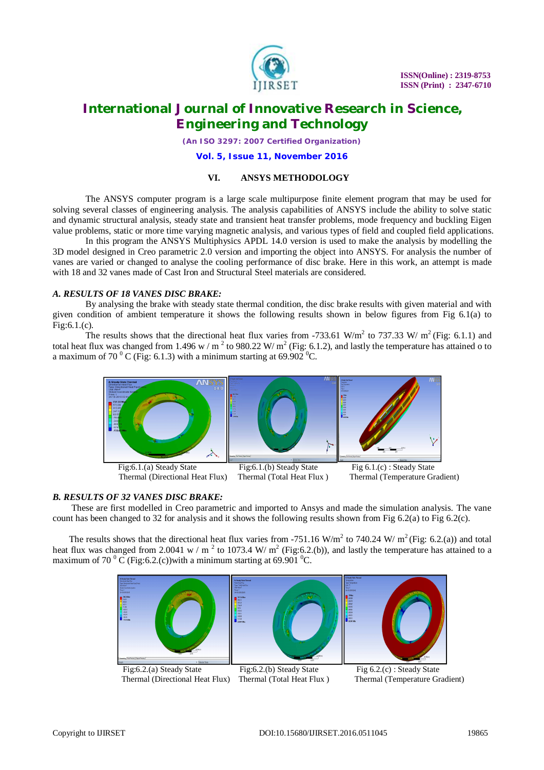

*(An ISO 3297: 2007 Certified Organization)*

#### **Vol. 5, Issue 11, November 2016**

#### **VI. ANSYS METHODOLOGY**

The ANSYS computer program is a large scale multipurpose finite element program that may be used for solving several classes of engineering analysis. The analysis capabilities of ANSYS include the ability to solve static and dynamic structural analysis, steady state and transient heat transfer problems, mode frequency and buckling Eigen value problems, static or more time varying magnetic analysis, and various types of field and coupled field applications.

In this program the ANSYS Multiphysics APDL 14.0 version is used to make the analysis by modelling the 3D model designed in Creo parametric 2.0 version and importing the object into ANSYS. For analysis the number of vanes are varied or changed to analyse the cooling performance of disc brake. Here in this work, an attempt is made with 18 and 32 vanes made of Cast Iron and Structural Steel materials are considered.

#### *A. RESULTS OF 18 VANES DISC BRAKE:*

By analysing the brake with steady state thermal condition, the disc brake results with given material and with given condition of ambient temperature it shows the following results shown in below figures from Fig 6.1(a) to Fig:6.1.(c).

The results shows that the directional heat flux varies from -733.61 W/m<sup>2</sup> to 737.33 W/ m<sup>2</sup> (Fig: 6.1.1) and total heat flux was changed from 1.496 w / m<sup>2</sup> to 980.22 W/m<sup>2</sup> (Fig: 6.1.2), and lastly the temperature has attained o to a maximum of 70  $\mathrm{^0}$  C (Fig: 6.1.3) with a minimum starting at 69.902  $\mathrm{^0}$ C.



#### *B. RESULTS OF 32 VANES DISC BRAKE:*

These are first modelled in Creo parametric and imported to Ansys and made the simulation analysis. The vane count has been changed to 32 for analysis and it shows the following results shown from Fig 6.2(a) to Fig 6.2(c).

The results shows that the directional heat flux varies from -751.16 W/m<sup>2</sup> to 740.24 W/ m<sup>2</sup> (Fig: 6.2.(a)) and total heat flux was changed from 2.0041 w / m<sup>2</sup> to 1073.4 W/ m<sup>2</sup> (Fig:6.2.(b)), and lastly the temperature has attained to a maximum of 70  $\mathrm{^0C}$  (Fig:6.2.(c))with a minimum starting at 69.901  $\mathrm{^0C}$ .



Thermal (Directional Heat Flux) Thermal (Total Heat Flux)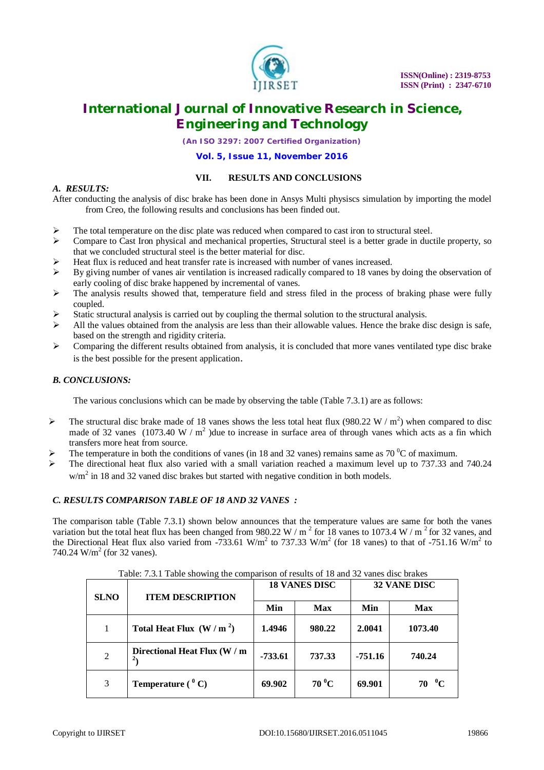

*(An ISO 3297: 2007 Certified Organization)*

#### **Vol. 5, Issue 11, November 2016**

### **VII. RESULTS AND CONCLUSIONS**

### *A. RESULTS:*

After conducting the analysis of disc brake has been done in Ansys Multi physiscs simulation by importing the model from Creo, the following results and conclusions has been finded out.

- The total temperature on the disc plate was reduced when compared to cast iron to structural steel.
- $\triangleright$  Compare to Cast Iron physical and mechanical properties, Structural steel is a better grade in ductile property, so that we concluded structural steel is the better material for disc.
- Heat flux is reduced and heat transfer rate is increased with number of vanes increased.
- By giving number of vanes air ventilation is increased radically compared to 18 vanes by doing the observation of early cooling of disc brake happened by incremental of vanes.
- $\triangleright$  The analysis results showed that, temperature field and stress filed in the process of braking phase were fully coupled.
- Static structural analysis is carried out by coupling the thermal solution to the structural analysis.
- $\triangleright$  All the values obtained from the analysis are less than their allowable values. Hence the brake disc design is safe, based on the strength and rigidity criteria.
- $\triangleright$  Comparing the different results obtained from analysis, it is concluded that more vanes ventilated type disc brake is the best possible for the present application.

### *B. CONCLUSIONS:*

The various conclusions which can be made by observing the table (Table 7.3.1) are as follows:

- The structural disc brake made of 18 vanes shows the less total heat flux (980.22 W /  $m^2$ ) when compared to disc made of 32 vanes  $(1073.40 \text{ W/m}^2)$  due to increase in surface area of through vanes which acts as a fin which transfers more heat from source.
- The temperature in both the conditions of vanes (in 18 and 32 vanes) remains same as 70  $\rm{^0C}$  of maximum.
- The directional heat flux also varied with a small variation reached a maximum level up to 737.33 and 740.24  $w/m<sup>2</sup>$  in 18 and 32 vaned disc brakes but started with negative condition in both models.

#### *C. RESULTS COMPARISON TABLE OF 18 AND 32 VANES :*

The comparison table (Table 7.3.1) shown below announces that the temperature values are same for both the vanes variation but the total heat flux has been changed from 980.22 W /  $m<sup>2</sup>$  for 18 vanes to 1073.4 W /  $m<sup>2</sup>$  for 32 vanes, and the Directional Heat flux also varied from -733.61 W/m<sup>2</sup> to 737.33 W/m<sup>2</sup> (for 18 vanes) to that of -751.16 W/m<sup>2</sup> to 740.24  $W/m^2$  (for 32 vanes).

| <b>SLNO</b> | <b>ITEM DESCRIPTION</b>                        | <b>18 VANES DISC</b> |                | <b>32 VANE DISC</b> |                |
|-------------|------------------------------------------------|----------------------|----------------|---------------------|----------------|
|             |                                                | Min                  | <b>Max</b>     | Min                 | <b>Max</b>     |
|             | Total Heat Flux $(W/m2)$                       | 1.4946               | 980.22         | 2.0041              | 1073.40        |
| 2           | Directional Heat Flux (W / m<br>2 <sub>1</sub> | $-733.61$            | 737.33         | $-751.16$           | 740.24         |
| 3           | <b>Temperature</b> $(^{0}C)$                   | 69.902               | $70^{\circ}$ C | 69.901              | $70\text{ °C}$ |

Table: 7.3.1 Table showing the comparison of results of 18 and 32 vanes disc brakes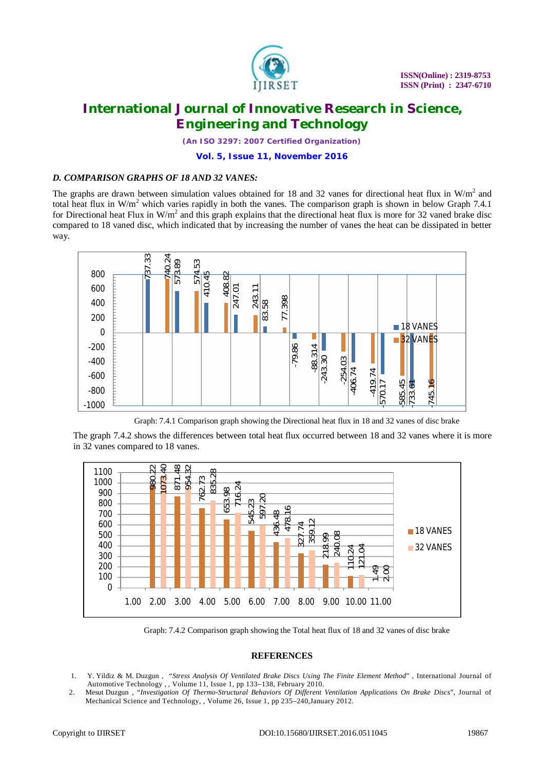

*(An ISO 3297: 2007 Certified Organization)*

#### **Vol. 5, Issue 11, November 2016**

### *D. COMPARISON GRAPHS OF 18 AND 32 VANES:*

The graphs are drawn between simulation values obtained for 18 and 32 vanes for directional heat flux in  $W/m<sup>2</sup>$  and total heat flux in  $W/m^2$  which varies rapidly in both the vanes. The comparison graph is shown in below Graph 7.4.1 for Directional heat Flux in  $W/m^2$  and this graph explains that the directional heat flux is more for 32 vaned brake disc compared to 18 vaned disc, which indicated that by increasing the number of vanes the heat can be dissipated in better way.



Graph: 7.4.1 Comparison graph showing the Directional heat flux in 18 and 32 vanes of disc brake

The graph 7.4.2 shows the differences between total heat flux occurred between 18 and 32 vanes where it is more in 32 vanes compared to 18 vanes.



Graph: 7.4.2 Comparison graph showing the Total heat flux of 18 and 32 vanes of disc brake

#### **REFERENCES**

- 1. Y. Yildiz & M. Duzgun , "*Stress Analysis Of Ventilated Brake Discs Using The Finite Element Method*" , International Journal of Automotive Technology , , Volume 11, Issue 1, pp 133–138, February 2010.
- 2. Mesut Duzgun , "*Investigation Of Thermo-Structural Behaviors Of Different Ventilation Applications On Brake Discs*", Journal of